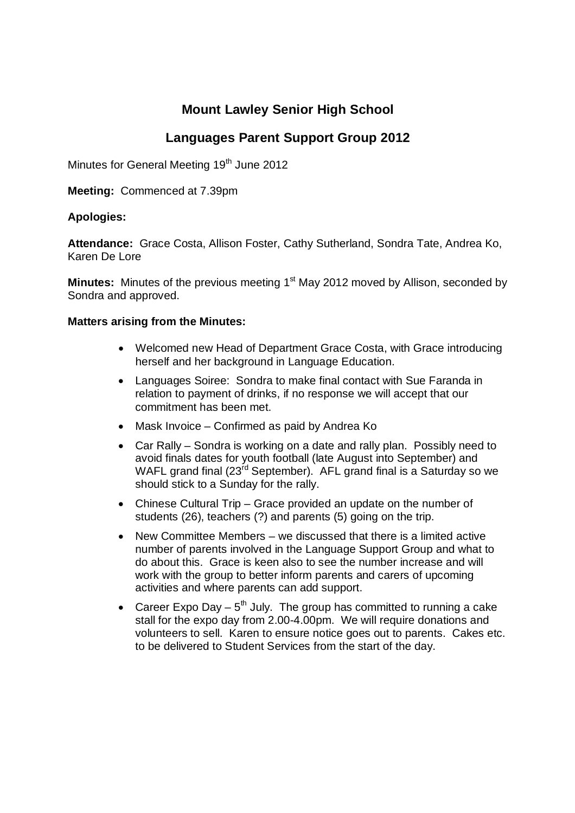# **Mount Lawley Senior High School**

## **Languages Parent Support Group 2012**

Minutes for General Meeting 19<sup>th</sup> June 2012

**Meeting:** Commenced at 7.39pm

### **Apologies:**

**Attendance:** Grace Costa, Allison Foster, Cathy Sutherland, Sondra Tate, Andrea Ko, Karen De Lore

**Minutes:** Minutes of the previous meeting 1<sup>st</sup> May 2012 moved by Allison, seconded by Sondra and approved.

### **Matters arising from the Minutes:**

- Welcomed new Head of Department Grace Costa, with Grace introducing herself and her background in Language Education.
- Languages Soiree: Sondra to make final contact with Sue Faranda in relation to payment of drinks, if no response we will accept that our commitment has been met.
- Mask Invoice Confirmed as paid by Andrea Ko
- Car Rally Sondra is working on a date and rally plan. Possibly need to avoid finals dates for youth football (late August into September) and WAFL grand final  $(23^{rd}$  September). AFL grand final is a Saturday so we should stick to a Sunday for the rally.
- Chinese Cultural Trip Grace provided an update on the number of students (26), teachers (?) and parents (5) going on the trip.
- New Committee Members we discussed that there is a limited active number of parents involved in the Language Support Group and what to do about this. Grace is keen also to see the number increase and will work with the group to better inform parents and carers of upcoming activities and where parents can add support.
- Career Expo Day  $5<sup>th</sup>$  July. The group has committed to running a cake stall for the expo day from 2.00-4.00pm. We will require donations and volunteers to sell. Karen to ensure notice goes out to parents. Cakes etc. to be delivered to Student Services from the start of the day.